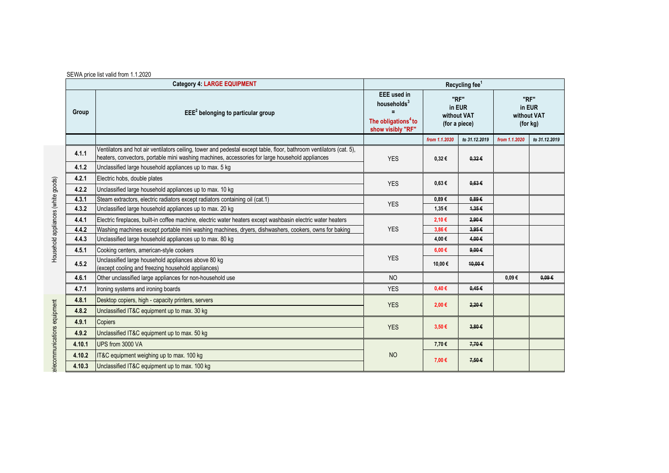|        | <b>Category 4: LARGE EQUIPMENT</b>                                                                                                                                                                                     | Recycling fee <sup>1</sup>                                                                               |                                                |               |                                           |               |  |
|--------|------------------------------------------------------------------------------------------------------------------------------------------------------------------------------------------------------------------------|----------------------------------------------------------------------------------------------------------|------------------------------------------------|---------------|-------------------------------------------|---------------|--|
| Group  | $EEE2$ belonging to particular group                                                                                                                                                                                   | <b>EEE</b> used in<br>households $3$<br>$\equiv$<br>The obligations <sup>4</sup> to<br>show visibly "RF" | "RF"<br>in EUR<br>without VAT<br>(for a piece) |               | "RF"<br>in EUR<br>without VAT<br>(for kg) |               |  |
|        |                                                                                                                                                                                                                        |                                                                                                          | from 1.1.2020                                  | to 31.12.2019 | from 1.1.2020                             | to 31.12.2019 |  |
| 4.1.1  | Ventilators and hot air ventilators ceiling, tower and pedestal except table, floor, bathroom ventilators (cat. 5),<br>heaters, convectors, portable mini washing machines, accessories for large household appliances | <b>YES</b>                                                                                               | $0,32 \in$                                     | 0.32E         |                                           |               |  |
| 4.1.2  | Unclassified large household appliances up to max. 5 kg                                                                                                                                                                |                                                                                                          |                                                |               |                                           |               |  |
| 4.2.1  | Electric hobs, double plates                                                                                                                                                                                           | <b>YES</b>                                                                                               | $0.63 \in$                                     | 0.63E         |                                           |               |  |
| 4.2.2  | Unclassified large household appliances up to max. 10 kg                                                                                                                                                               |                                                                                                          |                                                |               |                                           |               |  |
| 4.3.1  | Steam extractors, electric radiators except radiators containing oil (cat.1)                                                                                                                                           | <b>YES</b>                                                                                               | $0.89 \in$                                     | 0.89E         |                                           |               |  |
| 4.3.2  | Unclassified large household appliances up to max. 20 kg                                                                                                                                                               |                                                                                                          | 1,35€                                          | 1,35€         |                                           |               |  |
| 4.4.1  | Electric fireplaces, built-in coffee machine, electric water heaters except washbasin electric water heaters                                                                                                           | <b>YES</b>                                                                                               | 2,10€                                          | 2,90€         |                                           |               |  |
| 4.4.2  | Washing machines except portable mini washing machines, dryers, dishwashers, cookers, owns for baking                                                                                                                  |                                                                                                          | 3,86€                                          | 3.95E         |                                           |               |  |
| 4.4.3  | Unclassified large household appliances up to max. 80 kg                                                                                                                                                               |                                                                                                          | 4,00€                                          | 4.00€         |                                           |               |  |
| 4.5.1  | Cooking centers, american-style cookers                                                                                                                                                                                | <b>YES</b>                                                                                               | $6,00 \in$                                     | $9,00 \in$    |                                           |               |  |
| 4.5.2  | Unclassified large household appliances above 80 kg<br>(except cooling and freezing household appliances)                                                                                                              |                                                                                                          | 10,00€                                         | 10,00€        |                                           |               |  |
| 4.6.1  | Other unclassified large appliances for non-household use                                                                                                                                                              | <b>NO</b>                                                                                                |                                                |               | $0.09 \in$                                | 0.09E         |  |
| 4.7.1  | Ironing systems and ironing boards                                                                                                                                                                                     | <b>YES</b>                                                                                               | 0,40€                                          | 0.45E         |                                           |               |  |
| 4.8.1  | Desktop copiers, high - capacity printers, servers                                                                                                                                                                     | <b>YES</b>                                                                                               | 2,00€                                          | 2,20€         |                                           |               |  |
| 4.8.2  | Unclassified IT&C equipment up to max. 30 kg                                                                                                                                                                           |                                                                                                          |                                                |               |                                           |               |  |
| 4.9.1  | Copiers                                                                                                                                                                                                                | <b>YES</b>                                                                                               | $3,50 \in$                                     | 3,80E         |                                           |               |  |
| 4.9.2  | Unclassified IT&C equipment up to max. 50 kg                                                                                                                                                                           |                                                                                                          |                                                |               |                                           |               |  |
| 4.10.1 | UPS from 3000 VA                                                                                                                                                                                                       |                                                                                                          | 7,70€                                          | 7,70€         |                                           |               |  |
| 4.10.2 | IT&C equipment weighing up to max. 100 kg                                                                                                                                                                              | <b>NO</b>                                                                                                | 7,00 €<br>7,50€                                |               |                                           |               |  |
| 4.10.3 | Unclassified IT&C equipment up to max. 100 kg                                                                                                                                                                          |                                                                                                          |                                                |               |                                           |               |  |

elecommunications equipment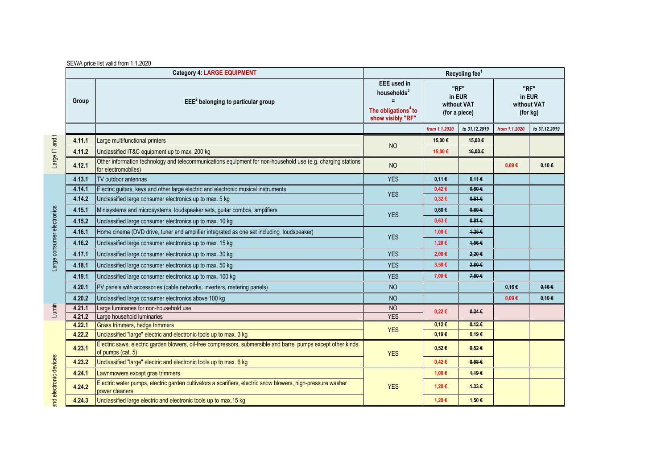|       |        | <b>Category 4: LARGE EQUIPMENT</b>                                                                                                 | Recycling fee <sup>1</sup>                                                                            |                                                |                 |                                           |               |  |  |
|-------|--------|------------------------------------------------------------------------------------------------------------------------------------|-------------------------------------------------------------------------------------------------------|------------------------------------------------|-----------------|-------------------------------------------|---------------|--|--|
| Group |        | $EEE2$ belonging to particular group                                                                                               | <b>EEE</b> used in<br>households <sup>3</sup><br>The obligations <sup>4</sup> to<br>show visibly "RF" | "RF"<br>in EUR<br>without VAT<br>(for a piece) |                 | "RF"<br>in EUR<br>without VAT<br>(for kg) |               |  |  |
|       |        |                                                                                                                                    |                                                                                                       | from 1.1.2020                                  | to 31.12.2019   | from 1.1.2020                             | to 31.12.2019 |  |  |
|       | 4.11.1 | Large multifunctional printers                                                                                                     | <b>NO</b>                                                                                             | 15,00€                                         | 45,00€          |                                           |               |  |  |
|       | 4.11.2 | Unclassified IT&C equipment up to max. 200 kg                                                                                      |                                                                                                       | 15,00€                                         | 16,00€          |                                           |               |  |  |
|       | 4.12.1 | Other information technology and telecommunications equipment for non-household use (e.g. charging stations<br>for electromobiles) | <b>NO</b>                                                                                             |                                                |                 | $0.09 \in$                                | 0,10.6        |  |  |
|       | 4.13.1 | <b>TV</b> outdoor antennas                                                                                                         | <b>YES</b>                                                                                            | 0,11€                                          | $0.11 \in$      |                                           |               |  |  |
|       | 4.14.1 | Electric guitars, keys and other large electric and electronic musical instruments                                                 | <b>YES</b>                                                                                            | 0,42€                                          | 0.50E           |                                           |               |  |  |
|       | 4.14.2 | Unclassified large consumer electronics up to max. 5 kg                                                                            |                                                                                                       | 0,32€                                          | 0.51E           |                                           |               |  |  |
|       | 4.15.1 | Minisystems and microsystems, loudspeaker sets, guitar combos, amplifiers                                                          | <b>YES</b>                                                                                            | $0,60 \in$                                     | 0.60E           |                                           |               |  |  |
|       | 4.15.2 | Unclassified large consumer electronics up to max. 10 kg                                                                           |                                                                                                       | 0,63€                                          | $0.81 \in$      |                                           |               |  |  |
|       | 4.16.1 | Home cinema (DVD drive, tuner and amplifier integrated as one set including loudspeaker)                                           |                                                                                                       | 1,00 €                                         | 1,25€           |                                           |               |  |  |
|       | 4.16.2 | Unclassified large consumer electronics up to max. 15 kg                                                                           | <b>YES</b>                                                                                            | 1,20€                                          | 4,56€           |                                           |               |  |  |
|       | 4.17.1 | Unclassified large consumer electronics up to max. 30 kg                                                                           | <b>YES</b>                                                                                            | 2,00€                                          | 2,20€           |                                           |               |  |  |
|       | 4.18.1 | Unclassified large consumer electronics up to max. 50 kg                                                                           | <b>YES</b>                                                                                            | 3,50 €                                         | $3,80 \in$      |                                           |               |  |  |
|       | 4.19.1 | Unclassified large consumer electronics up to max. 100 kg                                                                          | <b>YES</b>                                                                                            | 7.00€                                          | 7,50€           |                                           |               |  |  |
|       | 4.20.1 | PV panels with accessories (cable networks, inverters, metering panels)                                                            | <b>NO</b>                                                                                             |                                                |                 | 0,16€                                     | 0,16€         |  |  |
|       | 4.20.2 | Unclassified large consumer electronics above 100 kg                                                                               | <b>NO</b>                                                                                             |                                                |                 | $0.09 \in$                                | 0.10E         |  |  |
|       | 4.21.1 | Large luminaries for non-household use                                                                                             | <b>NO</b><br><b>YES</b>                                                                               | $0,22 \in$                                     | $0,24 \in$      |                                           |               |  |  |
|       | 4.21.2 | Large household luminaries                                                                                                         |                                                                                                       |                                                |                 |                                           |               |  |  |
|       | 4.22.1 | Grass trimmers, hedge trimmers                                                                                                     | <b>YES</b>                                                                                            | 0,12€                                          | 0,126           |                                           |               |  |  |
|       | 4.22.2 | Unclassified "large" electric and electronic tools up to max. 3 kg                                                                 |                                                                                                       | $0,19 \in$                                     | 0.19E           |                                           |               |  |  |
|       | 4.23.1 | Electric saws, electric garden blowers, oil-free compressors, submersible and barrel pumps except other kinds<br>of pumps (cat. 5) | <b>YES</b>                                                                                            | $0,52 \in$                                     | $0.52 \epsilon$ |                                           |               |  |  |
|       | 4.23.2 | Unclassified "large" electric and electronic tools up to max. 6 kg                                                                 |                                                                                                       | 0,42€                                          | 0.58E           |                                           |               |  |  |
|       | 4.24.1 | Lawnmowers except gras trimmers                                                                                                    |                                                                                                       | 1,00 €                                         | 1,19€           |                                           |               |  |  |
|       | 4.24.2 | Electric water pumps, electric garden cultivators a scarifiers, electric snow blowers, high-pressure washer<br>power cleaners      | <b>YES</b>                                                                                            | 1,20 €                                         | 4,33€           |                                           |               |  |  |
|       | 4.24.3 | Unclassified large electric and electronic tools up to max.15 kg                                                                   |                                                                                                       | 1,20€                                          | 4,50€           |                                           |               |  |  |